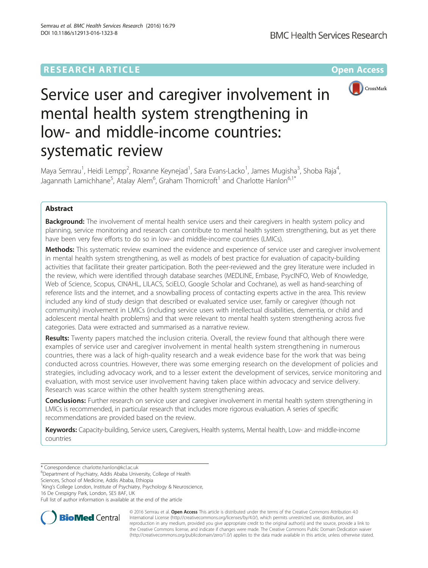## **RESEARCH ARTICLE Example 2014 12:30 The Community Community Community Community Community Community Community**



# Service user and caregiver involvement in mental health system strengthening in low- and middle-income countries: systematic review

Maya Semrau<sup>1</sup>, Heidi Lempp<sup>2</sup>, Roxanne Keynejad<sup>1</sup>, Sara Evans-Lacko<sup>1</sup>, James Mugisha<sup>3</sup>, Shoba Raja<sup>4</sup> , Jagannath Lamichhane<sup>5</sup>, Atalay Alem<sup>6</sup>, Graham Thornicroft<sup>1</sup> and Charlotte Hanlon<sup>6,1\*</sup>

### Abstract

**Background:** The involvement of mental health service users and their caregivers in health system policy and planning, service monitoring and research can contribute to mental health system strengthening, but as yet there have been very few efforts to do so in low- and middle-income countries (LMICs).

Methods: This systematic review examined the evidence and experience of service user and caregiver involvement in mental health system strengthening, as well as models of best practice for evaluation of capacity-building activities that facilitate their greater participation. Both the peer-reviewed and the grey literature were included in the review, which were identified through database searches (MEDLINE, Embase, PsycINFO, Web of Knowledge, Web of Science, Scopus, CINAHL, LILACS, SciELO, Google Scholar and Cochrane), as well as hand-searching of reference lists and the internet, and a snowballing process of contacting experts active in the area. This review included any kind of study design that described or evaluated service user, family or caregiver (though not community) involvement in LMICs (including service users with intellectual disabilities, dementia, or child and adolescent mental health problems) and that were relevant to mental health system strengthening across five categories. Data were extracted and summarised as a narrative review.

Results: Twenty papers matched the inclusion criteria. Overall, the review found that although there were examples of service user and caregiver involvement in mental health system strengthening in numerous countries, there was a lack of high-quality research and a weak evidence base for the work that was being conducted across countries. However, there was some emerging research on the development of policies and strategies, including advocacy work, and to a lesser extent the development of services, service monitoring and evaluation, with most service user involvement having taken place within advocacy and service delivery. Research was scarce within the other health system strengthening areas.

**Conclusions:** Further research on service user and caregiver involvement in mental health system strengthening in LMICs is recommended, in particular research that includes more rigorous evaluation. A series of specific recommendations are provided based on the review.

Keywords: Capacity-building, Service users, Caregivers, Health systems, Mental health, Low- and middle-income countries

Department of Psychiatry, Addis Ababa University, College of Health

Sciences, School of Medicine, Addis Ababa, Ethiopia

<sup>1</sup>King's College London, Institute of Psychiatry, Psychology & Neuroscience, 16 De Crespigny Park, London, SE5 8AF, UK

Full list of author information is available at the end of the article



© 2016 Semrau et al. Open Access This article is distributed under the terms of the Creative Commons Attribution 4.0 International License [\(http://creativecommons.org/licenses/by/4.0/](http://creativecommons.org/licenses/by/4.0/)), which permits unrestricted use, distribution, and reproduction in any medium, provided you give appropriate credit to the original author(s) and the source, provide a link to the Creative Commons license, and indicate if changes were made. The Creative Commons Public Domain Dedication waiver [\(http://creativecommons.org/publicdomain/zero/1.0/](http://creativecommons.org/publicdomain/zero/1.0/)) applies to the data made available in this article, unless otherwise stated.

<sup>\*</sup> Correspondence: [charlotte.hanlon@kcl.ac.uk](mailto:charlotte.hanlon@kcl.ac.uk) <sup>6</sup>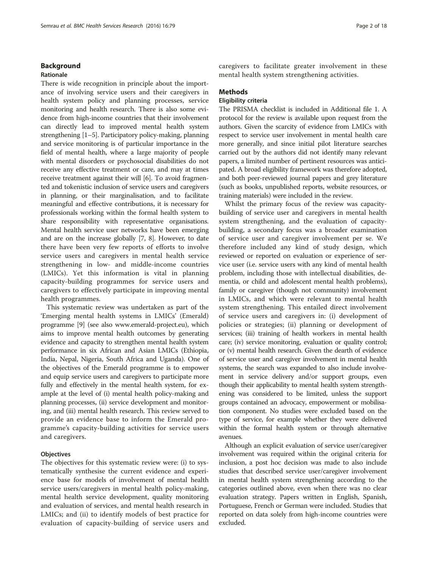#### Background

#### Rationale

There is wide recognition in principle about the importance of involving service users and their caregivers in health system policy and planning processes, service monitoring and health research. There is also some evidence from high-income countries that their involvement can directly lead to improved mental health system strengthening [\[1](#page-17-0)–[5\]](#page-17-0). Participatory policy-making, planning and service monitoring is of particular importance in the field of mental health, where a large majority of people with mental disorders or psychosocial disabilities do not receive any effective treatment or care, and may at times receive treatment against their will [\[6](#page-17-0)]. To avoid fragmented and tokenistic inclusion of service users and caregivers in planning, or their marginalisation, and to facilitate meaningful and effective contributions, it is necessary for professionals working within the formal health system to share responsibility with representative organisations. Mental health service user networks have been emerging and are on the increase globally [\[7, 8\]](#page-17-0). However, to date there have been very few reports of efforts to involve service users and caregivers in mental health service strengthening in low- and middle-income countries (LMICs). Yet this information is vital in planning capacity-building programmes for service users and caregivers to effectively participate in improving mental health programmes.

This systematic review was undertaken as part of the 'Emerging mental health systems in LMICs' (Emerald) programme [\[9](#page-17-0)] (see also [www.emerald-project.eu\)](http://www.emerald-project.eu/), which aims to improve mental health outcomes by generating evidence and capacity to strengthen mental health system performance in six African and Asian LMICs (Ethiopia, India, Nepal, Nigeria, South Africa and Uganda). One of the objectives of the Emerald programme is to empower and equip service users and caregivers to participate more fully and effectively in the mental health system, for example at the level of (i) mental health policy-making and planning processes, (ii) service development and monitoring, and (iii) mental health research. This review served to provide an evidence base to inform the Emerald programme's capacity-building activities for service users and caregivers.

#### **Objectives**

The objectives for this systematic review were: (i) to systematically synthesise the current evidence and experience base for models of involvement of mental health service users/caregivers in mental health policy-making, mental health service development, quality monitoring and evaluation of services, and mental health research in LMICs; and (ii) to identify models of best practice for evaluation of capacity-building of service users and caregivers to facilitate greater involvement in these mental health system strengthening activities.

#### Methods

#### Eligibility criteria

The PRISMA checklist is included in Additional file [1.](#page-16-0) A protocol for the review is available upon request from the authors. Given the scarcity of evidence from LMICs with respect to service user involvement in mental health care more generally, and since initial pilot literature searches carried out by the authors did not identify many relevant papers, a limited number of pertinent resources was anticipated. A broad eligibility framework was therefore adopted, and both peer-reviewed journal papers and grey literature (such as books, unpublished reports, website resources, or training materials) were included in the review.

Whilst the primary focus of the review was capacitybuilding of service user and caregivers in mental health system strengthening, and the evaluation of capacitybuilding, a secondary focus was a broader examination of service user and caregiver involvement per se. We therefore included any kind of study design, which reviewed or reported on evaluation or experience of service user (i.e. service users with any kind of mental health problem, including those with intellectual disabilities, dementia, or child and adolescent mental health problems), family or caregiver (though not community) involvement in LMICs, and which were relevant to mental health system strengthening. This entailed direct involvement of service users and caregivers in: (i) development of policies or strategies; (ii) planning or development of services; (iii) training of health workers in mental health care; (iv) service monitoring, evaluation or quality control; or (v) mental health research. Given the dearth of evidence of service user and caregiver involvement in mental health systems, the search was expanded to also include involvement in service delivery and/or support groups, even though their applicability to mental health system strengthening was considered to be limited, unless the support groups contained an advocacy, empowerment or mobilisation component. No studies were excluded based on the type of service, for example whether they were delivered within the formal health system or through alternative avenues.

Although an explicit evaluation of service user/caregiver involvement was required within the original criteria for inclusion, a post hoc decision was made to also include studies that described service user/caregiver involvement in mental health system strengthening according to the categories outlined above, even when there was no clear evaluation strategy. Papers written in English, Spanish, Portuguese, French or German were included. Studies that reported on data solely from high-income countries were excluded.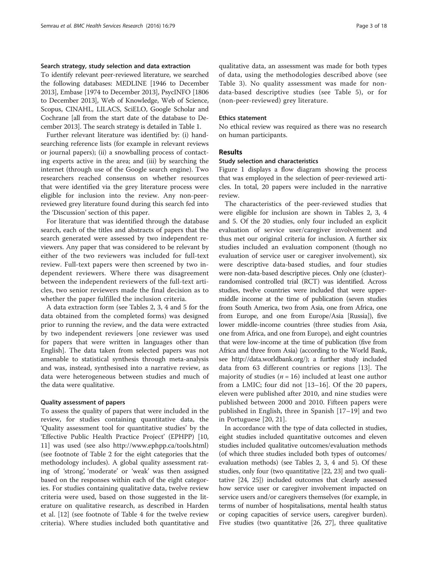#### Search strategy, study selection and data extraction

To identify relevant peer-reviewed literature, we searched the following databases: MEDLINE [1946 to December 2013], Embase [1974 to December 2013], PsycINFO [1806 to December 2013], Web of Knowledge, Web of Science, Scopus, CINAHL, LILACS, SciELO, Google Scholar and Cochrane [all from the start date of the database to December 2013]. The search strategy is detailed in Table [1](#page-3-0).

Further relevant literature was identified by: (i) handsearching reference lists (for example in relevant reviews or journal papers); (ii) a snowballing process of contacting experts active in the area; and (iii) by searching the internet (through use of the Google search engine). Two researchers reached consensus on whether resources that were identified via the grey literature process were eligible for inclusion into the review. Any non-peerreviewed grey literature found during this search fed into the 'Discussion' section of this paper.

For literature that was identified through the database search, each of the titles and abstracts of papers that the search generated were assessed by two independent reviewers. Any paper that was considered to be relevant by either of the two reviewers was included for full-text review. Full-text papers were then screened by two independent reviewers. Where there was disagreement between the independent reviewers of the full-text articles, two senior reviewers made the final decision as to whether the paper fulfilled the inclusion criteria.

A data extraction form (see Tables [2,](#page-4-0) [3,](#page-6-0) [4](#page-7-0) and [5](#page-11-0) for the data obtained from the completed forms) was designed prior to running the review, and the data were extracted by two independent reviewers [one reviewer was used for papers that were written in languages other than English]. The data taken from selected papers was not amenable to statistical synthesis through meta-analysis and was, instead, synthesised into a narrative review, as data were heterogeneous between studies and much of the data were qualitative.

#### Quality assessment of papers

To assess the quality of papers that were included in the review, for studies containing quantitative data, the 'Quality assessment tool for quantitative studies' by the 'Effective Public Health Practice Project' (EPHPP) [[10](#page-17-0), [11\]](#page-17-0) was used (see also<http://www.ephpp.ca/tools.html>) (see footnote of Table [2](#page-4-0) for the eight categories that the methodology includes). A global quality assessment rating of 'strong', 'moderate' or 'weak' was then assigned based on the responses within each of the eight categories. For studies containing qualitative data, twelve review criteria were used, based on those suggested in the literature on qualitative research, as described in Harden et al. [[12](#page-17-0)] (see footnote of Table [4](#page-7-0) for the twelve review criteria). Where studies included both quantitative and qualitative data, an assessment was made for both types of data, using the methodologies described above (see Table [3\)](#page-6-0). No quality assessment was made for nondata-based descriptive studies (see Table [5\)](#page-11-0), or for (non-peer-reviewed) grey literature.

#### Ethics statement

No ethical review was required as there was no research on human participants.

#### Results

#### Study selection and characteristics

Figure [1](#page-12-0) displays a flow diagram showing the process that was employed in the selection of peer-reviewed articles. In total, 20 papers were included in the narrative review.

The characteristics of the peer-reviewed studies that were eligible for inclusion are shown in Tables [2](#page-4-0), [3,](#page-6-0) [4](#page-7-0) and [5.](#page-11-0) Of the 20 studies, only four included an explicit evaluation of service user/caregiver involvement and thus met our original criteria for inclusion. A further six studies included an evaluation component (though no evaluation of service user or caregiver involvement), six were descriptive data-based studies, and four studies were non-data-based descriptive pieces. Only one (cluster) randomised controlled trial (RCT) was identified. Across studies, twelve countries were included that were uppermiddle income at the time of publication (seven studies from South America, two from Asia, one from Africa, one from Europe, and one from Europe/Asia [Russia]), five lower middle-income countries (three studies from Asia, one from Africa, and one from Europe), and eight countries that were low-income at the time of publication (five from Africa and three from Asia) (according to the World Bank, see<http://data.worldbank.org/>); a further study included data from 63 different countries or regions [[13\]](#page-17-0). The majority of studies ( $n = 16$ ) included at least one author from a LMIC; four did not [[13](#page-17-0)–[16](#page-17-0)]. Of the 20 papers, eleven were published after 2010, and nine studies were published between 2000 and 2010. Fifteen papers were published in English, three in Spanish [[17](#page-17-0)–[19\]](#page-17-0) and two in Portuguese [\[20](#page-17-0), [21\]](#page-17-0).

In accordance with the type of data collected in studies, eight studies included quantitative outcomes and eleven studies included qualitative outcomes/evaluation methods (of which three studies included both types of outcomes/ evaluation methods) (see Tables [2,](#page-4-0) [3,](#page-6-0) [4](#page-7-0) and [5](#page-11-0)). Of these studies, only four (two quantitative [\[22, 23](#page-17-0)] and two qualitative [\[24, 25\]](#page-17-0)) included outcomes that clearly assessed how service user or caregiver involvement impacted on service users and/or caregivers themselves (for example, in terms of number of hospitalisations, mental health status or coping capacities of service users, caregiver burden). Five studies (two quantitative [[26](#page-17-0), [27](#page-17-0)], three qualitative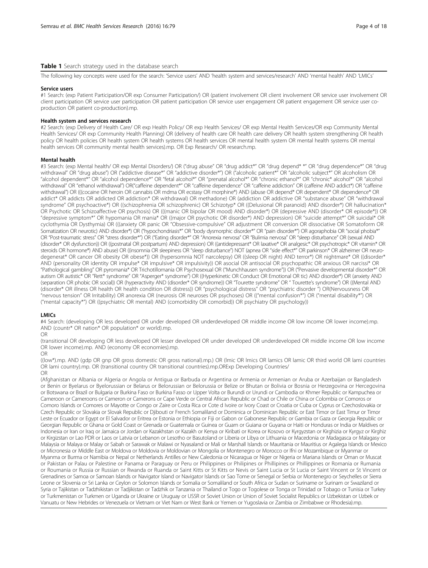#### <span id="page-3-0"></span>Table 1 Search strategy used in the database search

The following key concepts were used for the search: 'Service users' AND 'health system and services/research' AND 'mental health' AND 'LMICs'

#### Service users

#1 Search: (exp Patient Participation/OR exp Consumer Participation/) OR (patient involvement OR client involvement OR service user involvement OR client participation OR service user participation OR patient participation OR service user engagement OR patient engagement OR service user coproduction OR patient co-production).mp.

#### Health system and services research

#2 Search: (exp Delivery of Health Care/ OR exp Health Policy/ OR exp Health Services/ OR exp Mental Health Services/OR exp Community Mental Health Services/ OR exp Community Health Planning) OR (delivery of health care OR health care delivery OR health system strengthening OR health policy OR health policies OR health system OR health systems OR health services OR mental health system OR mental health systems OR mental health services OR community mental health services).mp. OR Exp Research/ OR research.mp.

#### Mental health

#3 Search: (exp Mental health/ OR exp Mental Disorders/) OR ("drug abuse" OR "drug addict\*" OR "drug depend\* \*" OR "drug dependence\*" OR "drug withdrawal" OR "drug abuse") OR ("addictive disease\*" OR "addictive disorder\*") OR ("alcoholic patient\*" OR "alcoholic subject\*" OR alcoholism OR "alcohol dependent\*" OR "alcohol dependence\*" OR "fetal alcohol\*" OR "prenatal alcohol\*" OR "chronic ethanol\*" OR "chronic\* alcohol\*" OR "alcohol withdrawal" OR "ethanol withdrawal") OR("caffeine dependent\*" OR "caffeine dependence" OR "caffeine addiction" OR (caffeine AND addict\*) OR "caffeine withdrawal") OR (((cocaine OR heroin OR cannabis OR mdma OR ecstasy OR morphine\*) AND (abuse OR depend\* OR dependent\* OR dependence\* OR addict\* OR addicts OR addicted OR addiction\* OR withdrawal) OR methadone) OR (addiction OR addictive OR "substance abuse" OR "withdrawal syndrome" OR psychoactive\*) OR ((schizophrenia OR schizophrenic) OR Schizotyp\* OR ((Delusional OR paranoid) AND disorder\*) OR hallucination\* OR Psychotic OR Schizoaffective OR psychosis) OR (((manic OR bipolar OR mood) AND disorder\*) OR (depressive AND (disorder\* OR episode\*)) OR "depressive symptom\*" OR hypomania OR mania\* OR ((major OR psychotic OR disorder\*) AND depression) OR "suicide attempt\*" OR suicidal\* OR cyclothymia OR Dysthymia) OR (((anxiety OR panic OR "Obsessive-compulsive" OR adjustment OR conversion OR dissociative OR Somatoform OR Somatization OR neurotic) AND disorder\*) OR ("hypochondriasis\*" OR "body dysmorphic disorder\*" OR "pain disorder\*") OR agoraphobia OR "social phobia\* OR "Post-traumatic stress" OR "stress disorder\*") OR ("Eating disorder\*" OR "Anorexia nervosa" OR "Bulimia nervosa" OR "sleep disturbance" OR (sexual AND (disorder\* OR dysfunction)) OR ((postnatal OR postpartum) AND depression) OR ((antidepressant\* OR laxative\* OR analgesic\* OR psychotropic\* OR vitamin\* OR steroids OR hormone\*) AND abuse) OR ((insomnia OR sleepiness OR "sleep disturbance") NOT (apnea OR "side effect\*" OR parkinson\* OR alzheimer OR neurodegenerat\* OR cancer OR obesity OR obese\*)) OR (hypersomnia NOT narcolepsy) OR ((sleep OR night) AND terror\*) OR nightmare\* OR ((disorder\* AND (personality OR identity OR impulse\* OR impulsive\* OR impulsivity)) OR asocial OR antisocial OR psychopathic OR anxious OR narcissi\* OR "Pathological gambling" OR pyromania\* OR Trichotillomania OR Psychosexual OR ("Munchhausen syndrome")) OR ("Pervasive developmental disorder\*" OR autism OR autistic\* OR "Rett\* syndrome" OR "Asperger\* syndrome") OR ((Hyperkinetic OR Conduct OR Emotional OR tic) AND disorder\*) OR (anxiety AND (separation OR phobic OR social)) OR (hyperactivity AND (disorder\* OR syndrome)) OR "Tourette syndrome" OR " Tourette's syndrome") OR ((Mental AND (disorder\* OR illness OR health OR health condition OR distress)) OR "psychological distress" OR "psychiatric disorder ") OR(Nervousness OR "nervous tension" OR Irritability) OR anorexia OR (neurosis OR neuroses OR psychoses) OR (("mental confusion\*") OR ("mental disability\*") OR ("mental capacity\*") OR ((psychiatric OR mental) AND (comorbidity OR comorbid)) OR psychiatry OR psychology))

#### LMICs

#4 Search: (developing OR less developed OR under developed OR underdeveloped OR middle income OR low income OR lower income).mp. AND (countr\* OR nation\* OR population\* or world).mp.

OR

(transitional OR developing OR less developed OR lesser developed OR under developed OR underdeveloped OR middle income OR low income OR lower income).mp. AND (economy OR economies).mp. OR

((low\*).mp. AND (gdp OR gnp OR gross domestic OR gross national).mp.) OR (lmic OR lmics OR lamics OR lamic OR third world OR lami countries OR lami country).mp. OR (transitional country OR transitional countries).mp.ORExp Developing Countries/

OR

(Afghanistan or Albania or Algeria or Angola or Antigua or Barbuda or Argentina or Armenia or Armenian or Aruba or Azerbaijan or Bangladesh or Benin or Byelarus or Byelorussian or Belarus or Belorussian or Belorussia or Belize or Bhutan or Bolivia or Bosnia or Herzegovina or Hercegovina or Botswana or Brazil or Bulgaria or Burkina Faso or Burkina Fasso or Upper Volta or Burundi or Urundi or Cambodia or Khmer Republic or Kampuchea or Cameroon or Cameroons or Cameron or Camerons or Cape Verde or Central African Republic or Chad or Chile or China or Colombia or Comoros or Comoro Islands or Comores or Mayotte or Congo or Zaire or Costa Rica or Cote d Ivoire or Ivory Coast or Croatia or Cuba or Cyprus or Czechoslovakia or Czech Republic or Slovakia or Slovak Republic or Djibouti or French Somaliland or Dominica or Dominican Republic or East Timor or East Timur or Timor Leste or Ecuador or Egypt or El Salvador or Eritrea or Estonia or Ethiopia or Fiji or Gabon or Gabonese Republic or Gambia or Gaza or Georgia Republic or Georgian Republic or Ghana or Gold Coast or Grenada or Guatemala or Guinea or Guam or Guiana or Guyana or Haiti or Honduras or India or Maldives or Indonesia or Iran or Iraq or Jamaica or Jordan or Kazakhstan or Kazakh or Kenya or Kiribati or Kosovo or Kyrgyzstan or Kirghizia or Kyrgyz or Kirghiz or Kirgizstan or Lao PDR or Laos or Latvia or Lebanon or Lesotho or Basutoland or Liberia or Libya or Lithuania or Macedonia or Madagasca or Malagasy or Malaysia or Malaya or Malay or Sabah or Sarawak or Malawi or Nyasaland or Mali or Marshall Islands or Mauritania or Mauritius or Agalega Islands or Mexico or Micronesia or Middle East or Moldova or Moldovia or Moldovian or Mongolia or Montenegro or Morocco or Ifni or Mozambique or Myanmar or Myanma or Burma or Namibia or Nepal or Netherlands Antilles or New Caledonia or Nicaragua or Niger or Nigeria or Mariana Islands or Oman or Muscat or Pakistan or Palau or Palestine or Panama or Paraguay or Peru or Philippines or Philipines or Phillipines or Phillippines or Romania or Rumania or Roumania or Russia or Russian or Rwanda or Ruanda or Saint Kitts or St Kitts or Nevis or Saint Lucia or St Lucia or Saint Vincent or St Vincent or Grenadines or Samoa or Samoan Islands or Navigator Island or Navigator Islands or Sao Tome or Senegal or Serbia or Montenegro or Seychelles or Sierra Leone or Slovenia or Sri Lanka or Ceylon or Solomon Islands or Somalia or Somaliland or South Africa or Sudan or Suriname or Surinam or Swaziland or Syria or Tajikistan or Tadzhikistan or Tadjikistan or Tadzhik or Tanzania or Thailand or Togo or Togolese or Tonga or Trinidad or Tobago or Tunisia or Turkey or Turkmenistan or Turkmen or Uganda or Ukraine or Uruguay or USSR or Soviet Union or Union of Soviet Socialist Republics or Uzbekistan or Uzbek or Vanuatu or New Hebrides or Venezuela or Vietnam or Viet Nam or West Bank or Yemen or Yugoslavia or Zambia or Zimbabwe or Rhodesia).mp.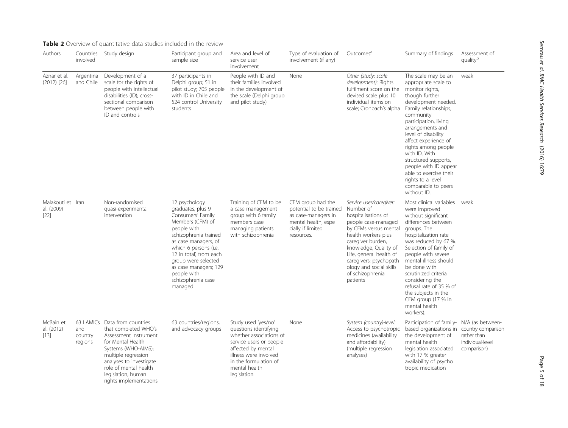<span id="page-4-0"></span>

| Authors                                   | Countries<br>involved     | Study design                                                                                                                                                                                                                                           | Participant group and<br>sample size                                                                                                                                                                                                                                                           | Area and level of<br>service user<br>involvement                                                                                                                                                           | Type of evaluation of<br>involvement (if any)                                                                                 | Outcomes <sup>a</sup>                                                                                                                                                                                                                                                                            | Summary of findings                                                                                                                                                                                                                                                                                                                                                                                                     | Assessment of<br>qualityb                      |
|-------------------------------------------|---------------------------|--------------------------------------------------------------------------------------------------------------------------------------------------------------------------------------------------------------------------------------------------------|------------------------------------------------------------------------------------------------------------------------------------------------------------------------------------------------------------------------------------------------------------------------------------------------|------------------------------------------------------------------------------------------------------------------------------------------------------------------------------------------------------------|-------------------------------------------------------------------------------------------------------------------------------|--------------------------------------------------------------------------------------------------------------------------------------------------------------------------------------------------------------------------------------------------------------------------------------------------|-------------------------------------------------------------------------------------------------------------------------------------------------------------------------------------------------------------------------------------------------------------------------------------------------------------------------------------------------------------------------------------------------------------------------|------------------------------------------------|
| Aznar et al.<br>$(2012)$ $[26]$           | Argentina<br>and Chile    | Development of a<br>scale for the rights of<br>people with intellectual<br>disabilities (ID); cross-<br>sectional comparison<br>between people with<br>ID and controls                                                                                 | 37 participants in<br>Delphi group; 51 in<br>pilot study; 705 people<br>with ID in Chile and<br>524 control University<br>students                                                                                                                                                             | People with ID and<br>their families involved<br>in the development of<br>the scale (Delphi group<br>and pilot study)                                                                                      | None                                                                                                                          | Other (study: scale<br>development): Rights<br>fulfilment score on the<br>devised scale plus 10<br>individual items on<br>scale; Cronbach's alpha                                                                                                                                                | The scale may be an<br>appropriate scale to<br>monitor rights,<br>though further<br>development needed.<br>Family relationships,<br>community<br>participation, living<br>arrangements and<br>level of disability<br>affect experience of<br>rights among people<br>with ID. With<br>structured supports,<br>people with ID appear<br>able to exercise their<br>rights to a level<br>comparable to peers<br>without ID. | weak                                           |
| Malakouti et Iran<br>al. (2009)<br>$[22]$ |                           | Non-randomised<br>quasi-experimental<br>intervention                                                                                                                                                                                                   | 12 psychology<br>graduates, plus 9<br>Consumers' Family<br>Members (CFM) of<br>people with<br>schizophrenia trained<br>as case managers, of<br>which 6 persons (i.e.<br>12 in total) from each<br>group were selected<br>as case managers; 129<br>people with<br>schizophrenia case<br>managed | Training of CFM to be<br>a case management<br>group with 6 family<br>members case<br>managing patients<br>with schizophrenia                                                                               | CFM group had the<br>potential to be trained<br>as case-managers in<br>mental health, espe<br>cially if limited<br>resources. | Service user/caregiver:<br>Number of<br>hospitalisations of<br>people case-managed<br>by CFMs versus mental<br>health workers plus<br>caregiver burden,<br>knowledge, Quality of<br>Life, general health of<br>caregivers; psychopath<br>ology and social skills<br>of schizophrenia<br>patients | Most clinical variables<br>were improved<br>without significant<br>differences between<br>groups. The<br>hospitalization rate<br>was reduced by 67 %.<br>Selection of family of<br>people with severe<br>mental illness should<br>be done with<br>scrutinized criteria<br>considering the<br>refusal rate of 35 % of<br>the subjects in the<br>CFM group (17 % in<br>mental health<br>workers).                         | weak                                           |
| McBain et<br>al. (2012)<br>$[13]$         | and<br>country<br>regions | 63 LAMICs Data from countries<br>that completed WHO's<br>Assessment Instrument<br>for Mental Health<br>Systems (WHO-AIMS);<br>multiple regression<br>analyses to investigate<br>role of mental health<br>legislation, human<br>rights implementations, | 63 countries/regions,<br>and advocacy groups                                                                                                                                                                                                                                                   | Study used 'yes/no'<br>questions identifying<br>whether associations of<br>service users or people<br>affected by mental<br>illness were involved<br>in the formulation of<br>mental health<br>legislation | None                                                                                                                          | System (country)-level:<br>Access to psychotropic<br>medicines (availability<br>and affordability)<br>(multiple regression<br>analyses)                                                                                                                                                          | Participation of family- N/A (as between-<br>based organizations in country comparison<br>the development of<br>mental health<br>legislation associated<br>with 17 % greater<br>availability of psycho<br>tropic medication                                                                                                                                                                                             | rather than<br>individual-level<br>comparison) |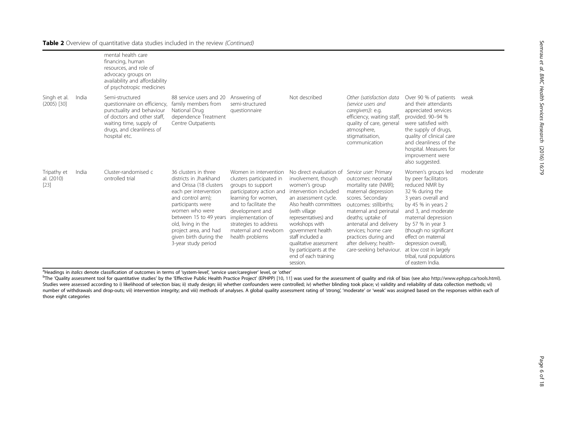|                                     |       | mental health care<br>financing, human<br>resources, and role of<br>advocacy groups on<br>availability and affordability<br>of psychotropic medicines                                |                                                                                                                                                                                                                                                                                          |                                                                                                                                                                                                                                                                |                                                                                                                                                                                                                                                                                                                                        |                                                                                                                                                                                                                                                                                                                          |                                                                                                                                                                                                                                                                                                                                                     |          |
|-------------------------------------|-------|--------------------------------------------------------------------------------------------------------------------------------------------------------------------------------------|------------------------------------------------------------------------------------------------------------------------------------------------------------------------------------------------------------------------------------------------------------------------------------------|----------------------------------------------------------------------------------------------------------------------------------------------------------------------------------------------------------------------------------------------------------------|----------------------------------------------------------------------------------------------------------------------------------------------------------------------------------------------------------------------------------------------------------------------------------------------------------------------------------------|--------------------------------------------------------------------------------------------------------------------------------------------------------------------------------------------------------------------------------------------------------------------------------------------------------------------------|-----------------------------------------------------------------------------------------------------------------------------------------------------------------------------------------------------------------------------------------------------------------------------------------------------------------------------------------------------|----------|
| Singh et al.<br>$(2005)$ [30]       | India | Semi-structured<br>questionnaire on efficiency,<br>punctuality and behaviour<br>of doctors and other staff,<br>waiting time, supply of<br>drugs, and cleanliness of<br>hospital etc. | 88 service users and 20<br>family members from<br>National Drug<br>dependence Treatment<br>Centre Outpatients                                                                                                                                                                            | Answering of<br>semi-structured<br>questionnaire                                                                                                                                                                                                               | Not described                                                                                                                                                                                                                                                                                                                          | Other (satisfaction data<br>(service users and<br>caregivers)): e.g.<br>efficiency, waiting staff,<br>quality of care, general<br>atmosphere,<br>stigmatisation,<br>communication                                                                                                                                        | Over 90 % of patients<br>and their attendants<br>appreciated services<br>provided. 90-94 %<br>were satisfied with<br>the supply of drugs,<br>quality of clinical care<br>and cleanliness of the<br>hospital. Measures for<br>improvement were<br>also suggested.                                                                                    | weak     |
| Tripathy et<br>al. (2010)<br>$[23]$ | India | Cluster-randomised c<br>ontrolled trial                                                                                                                                              | 36 clusters in three<br>districts in Jharkhand<br>and Orissa (18 clusters<br>each per intervention<br>and control arm);<br>participants were<br>women who were<br>between 15 to 49 years<br>old, living in the<br>project area, and had<br>given birth during the<br>3-year study period | Women in intervention<br>clusters participated in<br>groups to support<br>participatory action and<br>learning for women,<br>and to facilitate the<br>development and<br>implementation of<br>strategies to address<br>maternal and newborn<br>health problems | No direct evaluation of<br>involvement, though<br>women's group<br>intervention included<br>an assessment cycle.<br>Also health committees<br>(with village<br>representatives) and<br>workshops with<br>government health<br>staff included a<br>qualitative assessment<br>by participants at the<br>end of each training<br>session. | Service user: Primary<br>outcomes: neonatal<br>mortality rate (NMR);<br>maternal depression<br>scores. Secondary<br>outcomes: stillbirths:<br>maternal and perinatal<br>deaths; uptake of<br>antenatal and delivery<br>services; home care<br>practices during and<br>after delivery; health-<br>care-seeking behaviour. | Women's groups led<br>by peer facilitators<br>reduced NMR by<br>32 % during the<br>3 years overall and<br>by 45 % in years 2<br>and 3, and moderate<br>maternal depression<br>by 57 % in year 3<br>(though no significant<br>effect on maternal<br>depression overall),<br>at low cost in largely<br>tribal, rural populations<br>of eastern India. | moderate |

a<br>Per adings in *italics* denote classification of outcomes in terms of 'system-level', 'service user/caregiver' level, or 'other'<br>PThe 'Quality assessment tool for quantitative studies' by the 'Effective Public Health Pra

<sup>b</sup>The 'Quality assessment tool for quantitative studies' by the 'Effective Public Health Practice Project' (EPHPP) [\[10](#page-17-0), [11\]](#page-17-0) was used for the assessment of quality and risk of bias (see also <http://www.ephpp.ca/tools.html>) Studies were assessed according to i) likelihood of selection bias; ii) study design; iii) whether confounders were controlled; iv) whether blinding took place; v) validity and reliability of data collection methods; vi) number of withdrawals and drop-outs; vii) intervention integrity; and viii) methods of analyses. A global quality assessment rating of 'strong', 'moderate' or 'weak' was assigned based on the responses within each of those eight categories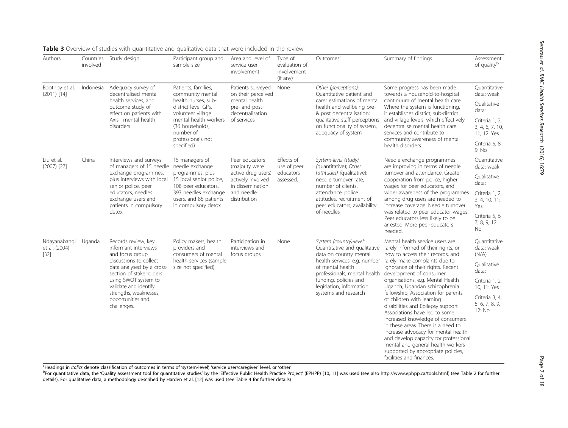Semrau

et al. BMC Health

Services Research

| Authors                                 | Countries<br>involved | Study design                                                                                                                                                                                                                                                    | Participant group and<br>sample size                                                                                                                                                                   | Area and level of<br>service user<br>involvement                                                                              | Type of<br>evaluation of<br>involvement<br>(if any) | Outcomes <sup>a</sup>                                                                                                                                                                                                          | Summary of findings                                                                                                                                                                                                                                                                                                                                                                                                                                                                                                                                                                                                                                                                                                       | Assessment<br>of quality <sup>b</sup>                                                                                                          |
|-----------------------------------------|-----------------------|-----------------------------------------------------------------------------------------------------------------------------------------------------------------------------------------------------------------------------------------------------------------|--------------------------------------------------------------------------------------------------------------------------------------------------------------------------------------------------------|-------------------------------------------------------------------------------------------------------------------------------|-----------------------------------------------------|--------------------------------------------------------------------------------------------------------------------------------------------------------------------------------------------------------------------------------|---------------------------------------------------------------------------------------------------------------------------------------------------------------------------------------------------------------------------------------------------------------------------------------------------------------------------------------------------------------------------------------------------------------------------------------------------------------------------------------------------------------------------------------------------------------------------------------------------------------------------------------------------------------------------------------------------------------------------|------------------------------------------------------------------------------------------------------------------------------------------------|
| Boothby et al.<br>$(2011)$ [14]         | Indonesia             | Adequacy survey of<br>decentralised mental<br>health services, and<br>outcome study of<br>effect on patients with<br>Axis I mental health<br>disorders                                                                                                          | Patients, families,<br>community mental<br>health nurses, sub-<br>district level GPs.<br>volunteer village<br>mental health workers<br>(36 households,<br>number of<br>professionals not<br>specified) | Patients surveyed<br>on their perceived<br>mental health<br>pre- and post-<br>decentralisation<br>of services                 | None                                                | Other (perceptions):<br>Quantitative patient and<br>carer estimations of mental<br>health and wellbeing pre-<br>& post decentralisation;<br>qualitative staff perceptions<br>on functionality of system,<br>adequacy of system | Some progress has been made<br>towards a household-to-hospital<br>continuum of mental health care.<br>Where the system is functioning,<br>it establishes district, sub-district<br>and village levels, which effectively<br>decentralise mental health care<br>services and contribute to<br>community awareness of mental<br>health disorders.                                                                                                                                                                                                                                                                                                                                                                           | Quantitative<br>data: weak<br>Qualitative<br>data:<br>Criteria 1, 2,<br>3, 4, 6, 7, 10,<br>11, 12: Yes<br>Criteria 5, 8,<br>9: No              |
| Liu et al.<br>$(2007)$ $[27]$           | China                 | Interviews and surveys<br>of managers of 15 needle needle exchange<br>exchange programmes,<br>plus interviews with local<br>senior police, peer<br>educators, needles<br>exchange users and<br>patients in compulsory<br>detox                                  | 15 managers of<br>programmes, plus<br>15 local senior police,<br>108 peer educators,<br>393 needles exchange<br>users, and 86 patients<br>in compulsory detox                                          | Peer educators<br>(majority were<br>active drug users)<br>actively involved<br>in dissemination<br>and needle<br>distribution | Effects of<br>use of peer<br>educators<br>assessed. | System-level (study)<br>(quantitative); Other<br>(attitudes) (qualitative):<br>needle turnover rate.<br>number of clients,<br>attendance, police<br>attitudes, recruitment of<br>peer educators, availability<br>of needles    | Needle exchange programmes<br>are improving in terms of needle<br>turnover and attendance. Greater<br>cooperation from police, higher<br>wages for peer educators, and<br>wider awareness of the programmes<br>among drug users are needed to<br>increase coverage. Needle turnover<br>was related to peer educator wages.<br>Peer educators less likely to be<br>arrested. More peer-educators<br>needed.                                                                                                                                                                                                                                                                                                                | Quantitative<br>data: weak<br>Qualitative<br>data:<br>Criteria 1, 2,<br>$3, 4, 10, 11$ :<br>Yes<br>Criteria 5, 6,<br>7, 8, 9, 12:<br><b>No</b> |
| Ndayanabangi<br>et al. (2004)<br>$[32]$ | Uganda                | Records review, key<br>informant interviews<br>and focus group<br>discussions to collect<br>data analysed by a cross-<br>section of stakeholders<br>using SWOT system to<br>validate and identify<br>strengths, weaknesses,<br>opportunities and<br>challenges. | Policy makers, health<br>providers and<br>consumers of mental<br>health services (sample<br>size not specified).                                                                                       | Participation in<br>interviews and<br>focus groups                                                                            | None                                                | System (country)-level:<br>Quantitative and qualitative<br>data on country mental<br>of mental health<br>professionals, mental health<br>funding, policies and<br>legislation, information<br>systems and research             | Mental health service users are<br>rarely informed of their rights, or<br>how to access their records, and<br>health services, e.g. number rarely make complaints due to<br>ignorance of their rights. Recent<br>development of consumer<br>organisations, e.g. Mental Health<br>Uganda, Ugandan schizophrenia<br>fellowship, Association for parents<br>of children with learning<br>disabilities and Epilepsy support<br>Associations have led to some<br>increased knowledge of consumers<br>in these areas. There is a need to<br>increase advocacy for mental health<br>and develop capacity for professional<br>mental and general health workers<br>supported by appropriate policies,<br>facilities and finances. | Ouantitative<br>data: weak<br>(N/A)<br>Qualitative<br>data:<br>Criteria 1, 2,<br>10, 11: Yes<br>Criteria 3, 4,<br>5, 6, 7, 8, 9,<br>12: No     |

<span id="page-6-0"></span>Table 3 Overview of studies with quantitative and qualitative data that were included in the review

a<br>Headings in *italics* denote classification of outcomes in terms of 'system-level', 'service user/caregiver' level, or 'other'<br>PEor quantitative data, the 'Quality assessment tool for quantitative studies' by the 'Effect

For quantitative data, the 'Quality assessment tool for quantitative studies' by the 'Effective Public Health Practice Project' (EPHPP) [\[10](#page-17-0), [11](#page-17-0)] was used (see also [http://www.ephpp.ca/tools.html\)](http://www.ephpp.ca/tools.html) (see Table [2](#page-4-0) for further details). For qualitative data, a methodology described by Harden et al. [[12](#page-17-0)] was used (see Table [4](#page-7-0) for further details)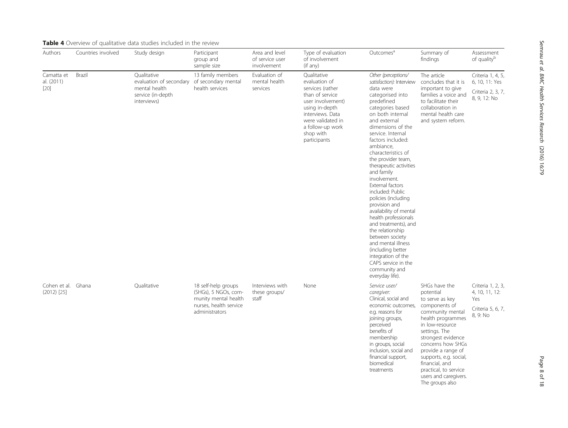<span id="page-7-0"></span>

| <b>Table 4</b> Overview of qualitative data studies included in the review |                    |                                                                                                                 |                                                                                                                 |                                                  |                                                                                                                                                                                                      |                                                                                                                                                                                                                                                                                                                                                                                                                                                                                                                                                                                                                                                                     |                                                                                                                                                                                                                                                                                                            |                                                                             |  |
|----------------------------------------------------------------------------|--------------------|-----------------------------------------------------------------------------------------------------------------|-----------------------------------------------------------------------------------------------------------------|--------------------------------------------------|------------------------------------------------------------------------------------------------------------------------------------------------------------------------------------------------------|---------------------------------------------------------------------------------------------------------------------------------------------------------------------------------------------------------------------------------------------------------------------------------------------------------------------------------------------------------------------------------------------------------------------------------------------------------------------------------------------------------------------------------------------------------------------------------------------------------------------------------------------------------------------|------------------------------------------------------------------------------------------------------------------------------------------------------------------------------------------------------------------------------------------------------------------------------------------------------------|-----------------------------------------------------------------------------|--|
| Authors                                                                    | Countries involved | Study design                                                                                                    | Participant<br>group and<br>sample size                                                                         | Area and level<br>of service user<br>involvement | Type of evaluation<br>of involvement<br>(if any)                                                                                                                                                     | Outcomes <sup>a</sup>                                                                                                                                                                                                                                                                                                                                                                                                                                                                                                                                                                                                                                               | Summary of<br>findings                                                                                                                                                                                                                                                                                     | Assessment<br>of quality <sup>b</sup>                                       |  |
| Camatta et<br>al. (2011)<br>$[20]$                                         | Brazil             | Oualitative<br>evaluation of secondary of secondary mental<br>mental health<br>service (in-depth<br>interviews) | 13 family members<br>health services                                                                            | Evaluation of<br>mental health<br>services       | Oualitative<br>evaluation of<br>services (rather<br>than of service<br>user involvement)<br>using in-depth<br>interviews. Data<br>were validated in<br>a follow-up work<br>shop with<br>participants | Other (perceptions/<br>satisfaction): Interview<br>data were<br>categorised into<br>predefined<br>categories based<br>on both internal<br>and external<br>dimensions of the<br>service. Internal<br>factors included:<br>ambiance.<br>characteristics of<br>the provider team,<br>therapeutic activities<br>and family<br>involvement.<br>External factors<br>included: Public<br>policies (including<br>provision and<br>availability of mental<br>health professionals<br>and treatments), and<br>the relationship<br>between society<br>and mental illness<br>(including better<br>integration of the<br>CAPS service in the<br>community and<br>everyday life). | The article<br>concludes that it is<br>important to give<br>families a voice and<br>to facilitate their<br>collaboration in<br>mental health care<br>and system reform.                                                                                                                                    | Criteria 1, 4, 5,<br>6, 10, 11: Yes<br>Criteria 2, 3, 7,<br>8, 9, 12: No    |  |
| Cohen et al. Ghana<br>$(2012)$ $[25]$                                      |                    | Qualitative                                                                                                     | 18 self-help groups<br>(SHGs), 5 NGOs, com-<br>munity mental health<br>nurses, health service<br>administrators | Interviews with<br>these groups/<br>staff        | None                                                                                                                                                                                                 | Service user/<br>caregiver:<br>Clinical, social and<br>economic outcomes,<br>e.g. reasons for<br>joining groups,<br>perceived<br>benefits of<br>membership<br>in groups, social<br>inclusion, social and<br>financial support,<br>biomedical<br>treatments                                                                                                                                                                                                                                                                                                                                                                                                          | SHGs have the<br>potential<br>to serve as key<br>components of<br>community mental<br>health programmes<br>in low-resource<br>settings. The<br>strongest evidence<br>concerns how SHGs<br>provide a range of<br>supports, e.g. social,<br>financial, and<br>practical, to service<br>users and caregivers. | Criteria 1, 2, 3,<br>4, 10, 11, 12:<br>Yes<br>Criteria 5, 6, 7,<br>8, 9: No |  |

Page 8 of 18

The groups also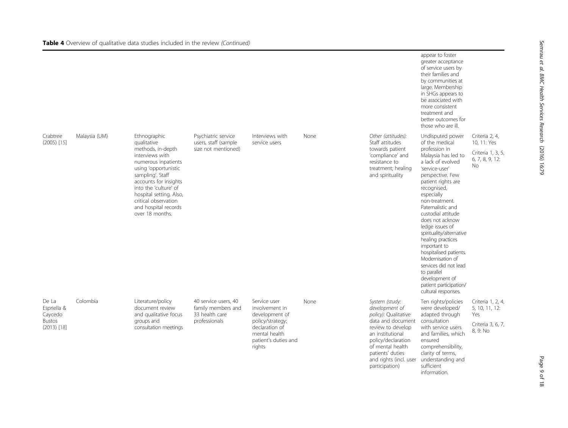|                                                                   |               |                                                                                                                                                                                                                                                                                        |                                                                               |                                                                                                                                           |      |                                                                                                                                                                                                                                  | appear to foster<br>greater acceptance<br>of service users by<br>their families and<br>by communities at<br>large. Membership<br>in SHGs appears to<br>be associated with<br>more consistent<br>treatment and<br>better outcomes for<br>those who are ill.                                                                                                                                                                                                                                                            |                                                                                    |
|-------------------------------------------------------------------|---------------|----------------------------------------------------------------------------------------------------------------------------------------------------------------------------------------------------------------------------------------------------------------------------------------|-------------------------------------------------------------------------------|-------------------------------------------------------------------------------------------------------------------------------------------|------|----------------------------------------------------------------------------------------------------------------------------------------------------------------------------------------------------------------------------------|-----------------------------------------------------------------------------------------------------------------------------------------------------------------------------------------------------------------------------------------------------------------------------------------------------------------------------------------------------------------------------------------------------------------------------------------------------------------------------------------------------------------------|------------------------------------------------------------------------------------|
| Crabtree<br>$(2005)$ [15]                                         | Malaysia (UM) | Ethnographic<br>qualitative<br>methods, in-depth<br>interviews with<br>numerous inpatients<br>using 'opportunistic<br>sampling'. Staff<br>accounts for insights<br>into the 'culture' of<br>hospital setting. Also,<br>critical observation<br>and hospital records<br>over 18 months. | Psychiatric service<br>users, staff (sample<br>size not mentioned)            | Interviews with<br>service users                                                                                                          | None | Other (attitudes):<br>Staff attitudes<br>towards patient<br>'compliance' and<br>resistance to<br>treatment; healing<br>and spirituality                                                                                          | Undisputed power<br>of the medical<br>profession in<br>Malaysia has led to<br>a lack of evolved<br>'service-user'<br>perspective. Few<br>patient rights are<br>recognised,<br>especially<br>non-treatment.<br>Paternalistic and<br>custodial attitude<br>does not acknow<br>ledge issues of<br>spirituality/alternative<br>healing practices<br>important to<br>hospitalised patients.<br>Modernisation of<br>services did not lead<br>to parallel<br>development of<br>patient participation/<br>cultural responses. | Criteria 2, 4,<br>10, 11: Yes<br>Criteria 1, 3, 5,<br>6, 7, 8, 9, 12:<br><b>No</b> |
| De La<br>Espriella &<br>Caycedo<br><b>Bustos</b><br>$(2013)$ [18] | Colombia      | Literature/policy<br>document review<br>and qualitative focus<br>groups and<br>consultation meetings                                                                                                                                                                                   | 40 service users, 40<br>family members and<br>33 health care<br>professionals | Service user<br>involvement in<br>development of<br>policy/strategy;<br>declaration of<br>mental health<br>patient's duties and<br>rights | None | System (study:<br>development of<br>policy): Qualitative<br>data and document<br>review to develop<br>an institutional<br>policy/declaration<br>of mental health<br>patients' duties<br>and rights (incl. user<br>participation) | Ten rights/policies<br>were developed/<br>adapted through<br>consultation<br>with service users<br>and families, which<br>ensured<br>comprehensibility,<br>clarity of terms,<br>understanding and<br>sufficient<br>information.                                                                                                                                                                                                                                                                                       | Criteria 1, 2, 4,<br>5, 10, 11, 12:<br>Yes<br>Criteria 3, 6, 7,<br>8, 9: No        |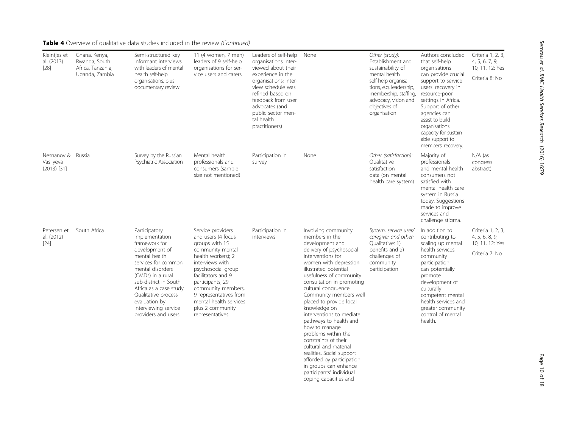| Kleintjes et<br>al. (2013)<br>$[28]$            | Ghana, Kenya,<br>Rwanda, South<br>Africa, Tanzania,<br>Uganda, Zambia | Semi-structured key<br>informant interviews<br>with leaders of mental<br>health self-help<br>organisations, plus<br>documentary review                                                                                                                                                          | 11 (4 women, 7 men)<br>leaders of 9 self-help<br>organisations for ser-<br>vice users and carers                                                                                                                                                                                                        | Leaders of self-help<br>organisations inter-<br>viewed about their<br>experience in the<br>organisations; inter-<br>view schedule was<br>refined based on<br>feedback from user<br>advocates (and<br>public sector men-<br>tal health<br>practitioners) | None                                                                                                                                                                                                                                                                                                                                                                                                                                                                                                                                                                           | Other (study):<br>Establishment and<br>sustainability of<br>mental health<br>self-help organisa<br>tions, e.g. leadership,<br>membership, staffing,<br>advocacy, vision and<br>objectives of<br>organisation | Authors concluded<br>that self-help<br>organisations<br>can provide crucial<br>support to service<br>users' recovery in<br>resource-poor<br>settings in Africa.<br>Support of other<br>agencies can<br>assist to build<br>organisations'<br>capacity for sustain<br>able support to<br>members' recovery. | Criteria 1, 2, 3,<br>4, 5, 6, 7, 9,<br>10, 11, 12: Yes<br>Criteria 8: No |
|-------------------------------------------------|-----------------------------------------------------------------------|-------------------------------------------------------------------------------------------------------------------------------------------------------------------------------------------------------------------------------------------------------------------------------------------------|---------------------------------------------------------------------------------------------------------------------------------------------------------------------------------------------------------------------------------------------------------------------------------------------------------|---------------------------------------------------------------------------------------------------------------------------------------------------------------------------------------------------------------------------------------------------------|--------------------------------------------------------------------------------------------------------------------------------------------------------------------------------------------------------------------------------------------------------------------------------------------------------------------------------------------------------------------------------------------------------------------------------------------------------------------------------------------------------------------------------------------------------------------------------|--------------------------------------------------------------------------------------------------------------------------------------------------------------------------------------------------------------|-----------------------------------------------------------------------------------------------------------------------------------------------------------------------------------------------------------------------------------------------------------------------------------------------------------|--------------------------------------------------------------------------|
| Nesnanov & Russia<br>Vasilyeva<br>$(2013)$ [31] |                                                                       | Survey by the Russian<br>Psychiatric Association                                                                                                                                                                                                                                                | Mental health<br>professionals and<br>consumers (sample<br>size not mentioned)                                                                                                                                                                                                                          | Participation in<br>survey                                                                                                                                                                                                                              | None                                                                                                                                                                                                                                                                                                                                                                                                                                                                                                                                                                           | Other (satisfaction):<br>Qualitative<br>satisfaction<br>data (on mental<br>health care system)                                                                                                               | Majority of<br>professionals<br>and mental health<br>consumers not<br>satisfied with<br>mental health care<br>system in Russia<br>today. Suggestions<br>made to improve<br>services and<br>challenge stigma.                                                                                              | N/A (as<br>congress<br>abstract)                                         |
| Petersen et<br>al. (2012)<br>$[24]$             | South Africa                                                          | Participatory<br>implementation<br>framework for<br>development of<br>mental health<br>services for common<br>mental disorders<br>(CMDs) in a rural<br>sub-district in South<br>Africa as a case study.<br>Qualitative process<br>evaluation by<br>interviewing service<br>providers and users. | Service providers<br>and users (4 focus<br>groups with 15<br>community mental<br>health workers); 2<br>interviews with<br>psychosocial group<br>facilitators and 9<br>participants, 29<br>community members,<br>9 representatives from<br>mental health services<br>plus 2 community<br>representatives | Participation in<br>interviews                                                                                                                                                                                                                          | Involving community<br>members in the<br>development and<br>delivery of psychosocial<br>interventions for<br>women with depression<br>illustrated potential<br>usefulness of community<br>consultation in promoting<br>cultural congruence.<br>Community members well<br>placed to provide local<br>knowledge on<br>interventions to mediate<br>pathways to health and<br>how to manage<br>problems within the<br>constraints of their<br>cultural and material<br>realities. Social support<br>afforded by participation<br>in groups can enhance<br>participants' individual | System, service user/<br>caregiver and other:<br>Qualitative: 1)<br>benefits and 2)<br>challenges of<br>community<br>participation                                                                           | In addition to<br>contributing to<br>scaling up mental<br>health services,<br>community<br>participation<br>can potentially<br>promote<br>development of<br>culturally<br>competent mental<br>health services and<br>greater community<br>control of mental<br>health.                                    | Criteria 1, 2, 3,<br>4, 5, 6, 8, 9,<br>10, 11, 12: Yes<br>Criteria 7: No |

coping capacities and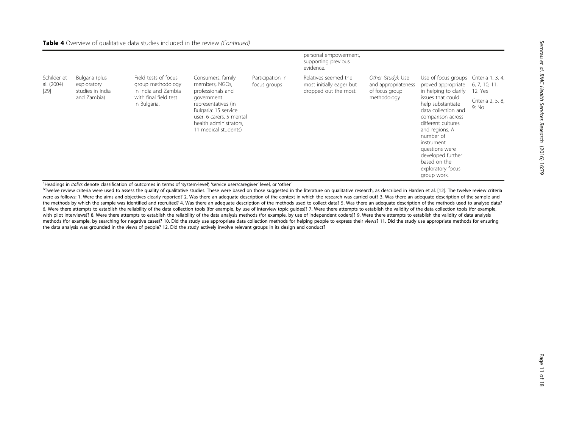**Table 4** Overview of qualitative data studies included in the review (Continued)

|                                     |                                                                  |                                                                                                           |                                                                                                                                                                                                     |                                  | personal empowerment,<br>supporting previous<br>evidence.                 |                                                                            |                                                                                                                                                                                                                                                                                                                        |                                                                             |
|-------------------------------------|------------------------------------------------------------------|-----------------------------------------------------------------------------------------------------------|-----------------------------------------------------------------------------------------------------------------------------------------------------------------------------------------------------|----------------------------------|---------------------------------------------------------------------------|----------------------------------------------------------------------------|------------------------------------------------------------------------------------------------------------------------------------------------------------------------------------------------------------------------------------------------------------------------------------------------------------------------|-----------------------------------------------------------------------------|
| Schilder et<br>al. (2004)<br>$[29]$ | Bulgaria (plus<br>exploratory<br>studies in India<br>and Zambia) | Field tests of focus<br>group methodology<br>in India and Zambia<br>with final field test<br>in Bulgaria. | Consumers, family<br>members, NGOs,<br>professionals and<br>government<br>representatives (in<br>Bulgaria: 15 service<br>user, 6 carers, 5 mental<br>health administrators,<br>11 medical students) | Participation in<br>focus groups | Relatives seemed the<br>most initially eager but<br>dropped out the most. | Other (study): Use<br>and appropriateness<br>of focus group<br>methodology | Use of focus groups<br>proved appropriate<br>in helping to clarify<br>issues that could<br>help substantiate<br>data collection and<br>comparison across<br>different cultures<br>and regions. A<br>number of<br>instrument<br>questions were<br>developed further<br>based on the<br>exploratory focus<br>group work. | Criteria 1, 3, 4,<br>6, 7, 10, 11,<br>12: Yes<br>Criteria 2, 5, 8,<br>9: No |

a<br>Headings in *italics* denote classification of outcomes in terms of 'system-level', 'service user/caregiver' level, or 'other'<br><sup>b</sup>Iwelve review criteria were used to assess the quality of qualitative studies. These were

<sup>b</sup>Twelve review criteria were used to assess the quality of qualitative studies. These were based on those suggested in the literature on qualitative research, as described in Harden et al. [[12](#page-17-0)]. The twelve review criteri were as follows: 1. Were the aims and objectives clearly reported? 2. Was there an adequate description of the context in which the research was carried out? 3. Was there an adequate description of the sample and the methods by which the sample was identified and recruited? 4. Was there an adequate description of the methods used to collect data? 5. Was there an adequate description of the methods used to analyse data? 6. Were there attempts to establish the reliability of the data collection tools (for example, by use of interview topic guides)? 7. Were there attempts to establish the validity of the data collection tools (for example, with pilot interviews)? 8. Were there attempts to establish the reliability of the data analysis methods (for example, by use of independent coders)? 9. Were there attempts to establish the validity of data analysis methods (for example, by searching for negative cases)? 10. Did the study use appropriate data collection methods for helping people to express their views? 11. Did the study use appropriate methods for ensuring the data analysis was grounded in the views of people? 12. Did the study actively involve relevant groups in its design and conduct?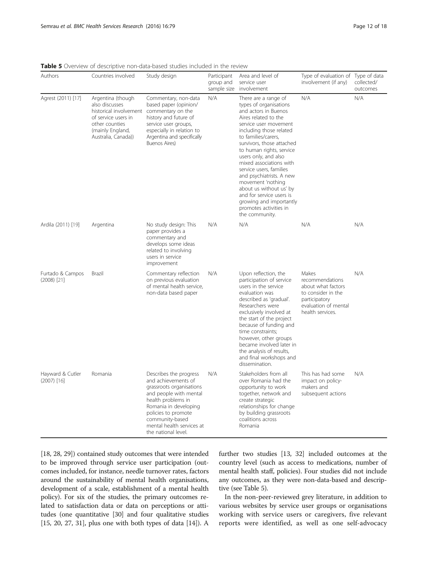| Authors                           | Countries involved                                                                                                                                                  | Study design                                                                                                                                                                                                                                     | Participant<br>group and<br>sample size | Area and level of<br>service user<br>involvement                                                                                                                                                                                                                                                                                                                                                                                                                                                | Type of evaluation of Type of data<br>involvement (if any)                                                                        | collected/<br>outcomes |
|-----------------------------------|---------------------------------------------------------------------------------------------------------------------------------------------------------------------|--------------------------------------------------------------------------------------------------------------------------------------------------------------------------------------------------------------------------------------------------|-----------------------------------------|-------------------------------------------------------------------------------------------------------------------------------------------------------------------------------------------------------------------------------------------------------------------------------------------------------------------------------------------------------------------------------------------------------------------------------------------------------------------------------------------------|-----------------------------------------------------------------------------------------------------------------------------------|------------------------|
| Agrest (2011) [17]                | Argentina (though<br>also discusses<br>historical involvement commentary on the<br>of service users in<br>other counties<br>(mainly England,<br>Australia, Canada)) | Commentary, non-data<br>based paper (opinion/<br>history and future of<br>service user groups,<br>especially in relation to<br>Argentina and specifically<br><b>Buenos Aires)</b>                                                                | N/A                                     | There are a range of<br>types of organisations<br>and actors in Buenos<br>Aires related to the<br>service user movement<br>including those related<br>to families/carers,<br>survivors, those attached<br>to human rights, service<br>users only, and also<br>mixed associations with<br>service users, families<br>and psychiatrists. A new<br>movement 'nothing<br>about us without us' by<br>and for service users is<br>growing and importantly<br>promotes activities in<br>the community. | N/A                                                                                                                               | N/A                    |
| Ardila (2011) [19]                | Argentina                                                                                                                                                           | No study design: This<br>paper provides a<br>commentary and<br>develops some ideas<br>related to involving<br>users in service<br>improvement                                                                                                    | N/A                                     | N/A                                                                                                                                                                                                                                                                                                                                                                                                                                                                                             | N/A                                                                                                                               | N/A                    |
| Furtado & Campos<br>$(2008)$ [21] | Brazil                                                                                                                                                              | Commentary reflection<br>on previous evaluation<br>of mental health service,<br>non-data based paper                                                                                                                                             | N/A                                     | Upon reflection, the<br>participation of service<br>users in the service<br>evaluation was<br>described as 'gradual'.<br>Researchers were<br>exclusively involved at<br>the start of the project<br>because of funding and<br>time constraints;<br>however, other groups<br>became involved later in<br>the analysis of results,<br>and final workshops and<br>dissemination.                                                                                                                   | Makes<br>recommendations<br>about what factors<br>to consider in the<br>participatory<br>evaluation of mental<br>health services. | N/A                    |
| Hayward & Cutler<br>$(2007)$ [16] | Romania                                                                                                                                                             | Describes the progress<br>and achievements of<br>grassroots organisations<br>and people with mental<br>health problems in<br>Romania in developing<br>policies to promote<br>community-based<br>mental health services at<br>the national level. | N/A                                     | Stakeholders from all<br>over Romania had the<br>opportunity to work<br>together, network and<br>create strategic<br>relationships for change<br>by building grassroots<br>coalitions across<br>Romania                                                                                                                                                                                                                                                                                         | This has had some<br>impact on policy-<br>makers and<br>subsequent actions                                                        | N/A                    |

<span id="page-11-0"></span>Table 5 Overview of descriptive non-data-based studies included in the review

[[18](#page-17-0), [28, 29](#page-17-0)]) contained study outcomes that were intended to be improved through service user participation (outcomes included, for instance, needle turnover rates, factors around the sustainability of mental health organisations, development of a scale, establishment of a mental health policy). For six of the studies, the primary outcomes related to satisfaction data or data on perceptions or attitudes (one quantitative [[30](#page-17-0)] and four qualitative studies [[15](#page-17-0), [20](#page-17-0), [27, 31\]](#page-17-0), plus one with both types of data [\[14\]](#page-17-0)). A

further two studies [\[13, 32\]](#page-17-0) included outcomes at the country level (such as access to medications, number of mental health staff, policies). Four studies did not include any outcomes, as they were non-data-based and descriptive (see Table 5).

In the non-peer-reviewed grey literature, in addition to various websites by service user groups or organisations working with service users or caregivers, five relevant reports were identified, as well as one self-advocacy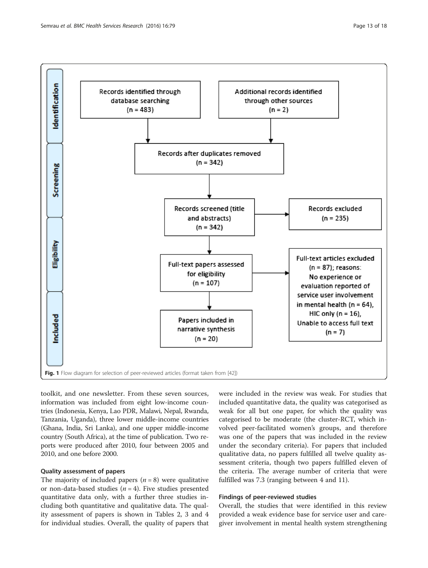<span id="page-12-0"></span>

toolkit, and one newsletter. From these seven sources, information was included from eight low-income countries (Indonesia, Kenya, Lao PDR, Malawi, Nepal, Rwanda, Tanzania, Uganda), three lower middle-income countries (Ghana, India, Sri Lanka), and one upper middle-income country (South Africa), at the time of publication. Two reports were produced after 2010, four between 2005 and 2010, and one before 2000.

#### Quality assessment of papers

The majority of included papers  $(n = 8)$  were qualitative or non-data-based studies  $(n = 4)$ . Five studies presented quantitative data only, with a further three studies including both quantitative and qualitative data. The quality assessment of papers is shown in Tables [2](#page-4-0), [3](#page-6-0) and [4](#page-7-0) for individual studies. Overall, the quality of papers that were included in the review was weak. For studies that included quantitative data, the quality was categorised as weak for all but one paper, for which the quality was categorised to be moderate (the cluster-RCT, which involved peer-facilitated women's groups, and therefore was one of the papers that was included in the review under the secondary criteria). For papers that included qualitative data, no papers fulfilled all twelve quality assessment criteria, though two papers fulfilled eleven of the criteria. The average number of criteria that were fulfilled was 7.3 (ranging between 4 and 11).

#### Findings of peer-reviewed studies

Overall, the studies that were identified in this review provided a weak evidence base for service user and caregiver involvement in mental health system strengthening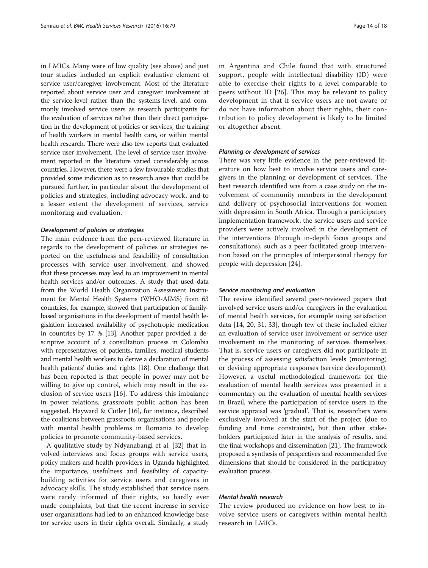in LMICs. Many were of low quality (see above) and just four studies included an explicit evaluative element of service user/caregiver involvement. Most of the literature reported about service user and caregiver involvement at the service-level rather than the systems-level, and commonly involved service users as research participants for the evaluation of services rather than their direct participation in the development of policies or services, the training of health workers in mental health care, or within mental health research. There were also few reports that evaluated service user involvement. The level of service user involvement reported in the literature varied considerably across countries. However, there were a few favourable studies that provided some indication as to research areas that could be pursued further, in particular about the development of policies and strategies, including advocacy work, and to a lesser extent the development of services, service monitoring and evaluation.

#### Development of policies or strategies

The main evidence from the peer-reviewed literature in regards to the development of policies or strategies reported on the usefulness and feasibility of consultation processes with service user involvement, and showed that these processes may lead to an improvement in mental health services and/or outcomes. A study that used data from the World Health Organization Assessment Instrument for Mental Health Systems (WHO-AIMS) from 63 countries, for example, showed that participation of familybased organisations in the development of mental health legislation increased availability of psychotropic medication in countries by 17 % [\[13\]](#page-17-0). Another paper provided a descriptive account of a consultation process in Colombia with representatives of patients, families, medical students and mental health workers to derive a declaration of mental health patients' duties and rights [[18\]](#page-17-0). One challenge that has been reported is that people in power may not be willing to give up control, which may result in the exclusion of service users [\[16](#page-17-0)]. To address this imbalance in power relations, grassroots public action has been suggested. Hayward & Cutler [[16](#page-17-0)], for instance, described the coalitions between grassroots organisations and people with mental health problems in Romania to develop policies to promote community-based services.

A qualitative study by Ndyanabangi et al. [[32\]](#page-17-0) that involved interviews and focus groups with service users, policy makers and health providers in Uganda highlighted the importance, usefulness and feasibility of capacitybuilding activities for service users and caregivers in advocacy skills. The study established that service users were rarely informed of their rights, so hardly ever made complaints, but that the recent increase in service user organisations had led to an enhanced knowledge base for service users in their rights overall. Similarly, a study in Argentina and Chile found that with structured support, people with intellectual disability (ID) were able to exercise their rights to a level comparable to peers without ID [[26\]](#page-17-0). This may be relevant to policy development in that if service users are not aware or do not have information about their rights, their contribution to policy development is likely to be limited or altogether absent.

#### Planning or development of services

There was very little evidence in the peer-reviewed literature on how best to involve service users and caregivers in the planning or development of services. The best research identified was from a case study on the involvement of community members in the development and delivery of psychosocial interventions for women with depression in South Africa. Through a participatory implementation framework, the service users and service providers were actively involved in the development of the interventions (through in-depth focus groups and consultations), such as a peer facilitated group intervention based on the principles of interpersonal therapy for people with depression [\[24\]](#page-17-0).

#### Service monitoring and evaluation

The review identified several peer-reviewed papers that involved service users and/or caregivers in the evaluation of mental health services, for example using satisfaction data [\[14](#page-17-0), [20](#page-17-0), [31](#page-17-0), [33\]](#page-17-0), though few of these included either an evaluation of service user involvement or service user involvement in the monitoring of services themselves. That is, service users or caregivers did not participate in the process of assessing satisfaction levels (monitoring) or devising appropriate responses (service development). However, a useful methodological framework for the evaluation of mental health services was presented in a commentary on the evaluation of mental health services in Brazil, where the participation of service users in the service appraisal was 'gradual'. That is, researchers were exclusively involved at the start of the project (due to funding and time constraints), but then other stakeholders participated later in the analysis of results, and the final workshops and dissemination [\[21](#page-17-0)]. The framework proposed a synthesis of perspectives and recommended five dimensions that should be considered in the participatory evaluation process.

#### Mental health research

The review produced no evidence on how best to involve service users or caregivers within mental health research in LMICs.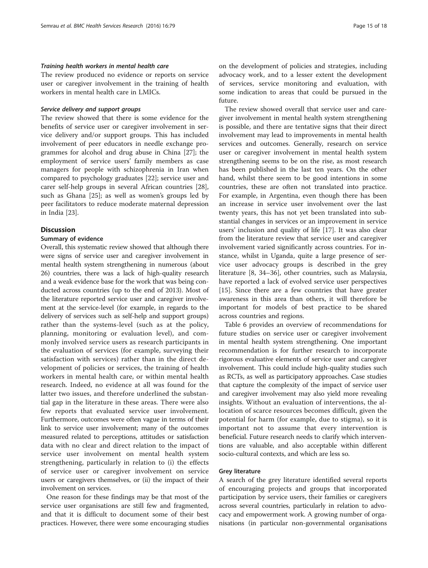#### Training health workers in mental health care

The review produced no evidence or reports on service user or caregiver involvement in the training of health workers in mental health care in LMICs.

#### Service delivery and support groups

The review showed that there is some evidence for the benefits of service user or caregiver involvement in service delivery and/or support groups. This has included involvement of peer educators in needle exchange programmes for alcohol and drug abuse in China [[27](#page-17-0)]; the employment of service users' family members as case managers for people with schizophrenia in Iran when compared to psychology graduates [[22](#page-17-0)]; service user and carer self-help groups in several African countries [\[28](#page-17-0)], such as Ghana [[25\]](#page-17-0); as well as women's groups led by peer facilitators to reduce moderate maternal depression in India [[23](#page-17-0)].

#### Discussion

#### Summary of evidence

Overall, this systematic review showed that although there were signs of service user and caregiver involvement in mental health system strengthening in numerous (about 26) countries, there was a lack of high-quality research and a weak evidence base for the work that was being conducted across countries (up to the end of 2013). Most of the literature reported service user and caregiver involvement at the service-level (for example, in regards to the delivery of services such as self-help and support groups) rather than the systems-level (such as at the policy, planning, monitoring or evaluation level), and commonly involved service users as research participants in the evaluation of services (for example, surveying their satisfaction with services) rather than in the direct development of policies or services, the training of health workers in mental health care, or within mental health research. Indeed, no evidence at all was found for the latter two issues, and therefore underlined the substantial gap in the literature in these areas. There were also few reports that evaluated service user involvement. Furthermore, outcomes were often vague in terms of their link to service user involvement; many of the outcomes measured related to perceptions, attitudes or satisfaction data with no clear and direct relation to the impact of service user involvement on mental health system strengthening, particularly in relation to (i) the effects of service user or caregiver involvement on service users or caregivers themselves, or (ii) the impact of their involvement on services.

One reason for these findings may be that most of the service user organisations are still few and fragmented, and that it is difficult to document some of their best practices. However, there were some encouraging studies on the development of policies and strategies, including advocacy work, and to a lesser extent the development of services, service monitoring and evaluation, with some indication to areas that could be pursued in the future.

The review showed overall that service user and caregiver involvement in mental health system strengthening is possible, and there are tentative signs that their direct involvement may lead to improvements in mental health services and outcomes. Generally, research on service user or caregiver involvement in mental health system strengthening seems to be on the rise, as most research has been published in the last ten years. On the other hand, whilst there seem to be good intentions in some countries, these are often not translated into practice. For example, in Argentina, even though there has been an increase in service user involvement over the last twenty years, this has not yet been translated into substantial changes in services or an improvement in service users' inclusion and quality of life [\[17](#page-17-0)]. It was also clear from the literature review that service user and caregiver involvement varied significantly across countries. For instance, whilst in Uganda, quite a large presence of service user advocacy groups is described in the grey literature [\[8](#page-17-0), [34](#page-17-0)–[36\]](#page-17-0), other countries, such as Malaysia, have reported a lack of evolved service user perspectives [[15\]](#page-17-0). Since there are a few countries that have greater awareness in this area than others, it will therefore be important for models of best practice to be shared across countries and regions.

Table [6](#page-15-0) provides an overview of recommendations for future studies on service user or caregiver involvement in mental health system strengthening. One important recommendation is for further research to incorporate rigorous evaluative elements of service user and caregiver involvement. This could include high-quality studies such as RCTs, as well as participatory approaches. Case studies that capture the complexity of the impact of service user and caregiver involvement may also yield more revealing insights. Without an evaluation of interventions, the allocation of scarce resources becomes difficult, given the potential for harm (for example, due to stigma), so it is important not to assume that every intervention is beneficial. Future research needs to clarify which interventions are valuable, and also acceptable within different socio-cultural contexts, and which are less so.

#### Grey literature

A search of the grey literature identified several reports of encouraging projects and groups that incorporated participation by service users, their families or caregivers across several countries, particularly in relation to advocacy and empowerment work. A growing number of organisations (in particular non-governmental organisations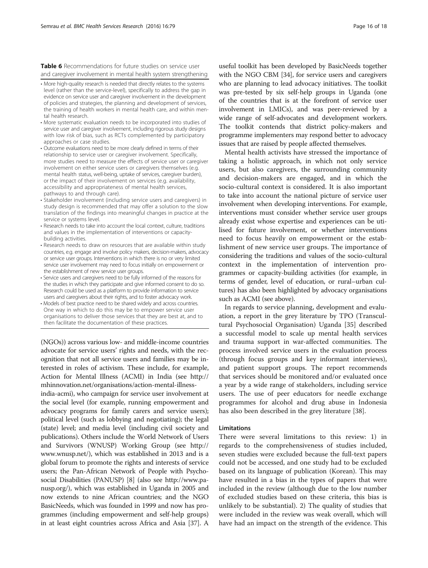<span id="page-15-0"></span>Table 6 Recommendations for future studies on service user and caregiver involvement in mental health system strengthening

- More high-quality research is needed that directly relates to the systems level (rather than the service-level), specifically to address the gap in evidence on service user and caregiver involvement in the development of policies and strategies, the planning and development of services, the training of health workers in mental health care, and within mental health research.
- More systematic evaluation needs to be incorporated into studies of service user and caregiver involvement, including rigorous study designs with low risk of bias, such as RCTs complemented by participatory approaches or case studies.
- Outcome evaluations need to be more clearly defined in terms of their relationship to service user or caregiver involvement. Specifically, more studies need to measure the effects of service user or caregiver involvement on either service users or caregivers themselves (e.g. mental health status, well-being, uptake of services, caregiver burden), or the impact of their involvement on services (e.g. availability, accessibility and appropriateness of mental health services, pathways to and through care).
- Stakeholder involvement (including service users and caregivers) in study design is recommended that may offer a solution to the slow translation of the findings into meaningful changes in practice at the service or systems level.
- Research needs to take into account the local context, culture, traditions and values in the implementation of interventions or capacitybuilding activities.
- Research needs to draw on resources that are available within study countries, e.g. engage and involve policy makers, decision-makers, advocacy or service user groups. Interventions in which there is no or very limited service user involvement may need to focus initially on empowerment or the establishment of new service user groups.
- Service users and caregivers need to be fully informed of the reasons for the studies in which they participate and give informed consent to do so. Research could be used as a platform to provide information to service users and caregivers about their rights, and to foster advocacy work.
- Models of best practice need to be shared widely and across countries. One way in which to do this may be to empower service user organisations to deliver those services that they are best at, and to then facilitate the documentation of these practices.

(NGOs)) across various low- and middle-income countries advocate for service users' rights and needs, with the recognition that not all service users and families may be interested in roles of activism. These include, for example, Action for Mental Illness (ACMI) in India (see [http://](http://mhinnovation.net/organisations/action-mental-illness-india-acmi) [mhinnovation.net/organisations/action-mental-illness-](http://mhinnovation.net/organisations/action-mental-illness-india-acmi)

[india-acmi\)](http://mhinnovation.net/organisations/action-mental-illness-india-acmi), who campaign for service user involvement at the social level (for example, running empowerment and advocacy programs for family carers and service users); political level (such as lobbying and negotiating); the legal (state) level; and media level (including civil society and publications). Others include the World Network of Users and Survivors (WNUSP) Working Group (see [http://](http://www.wnusp.net/) [www.wnusp.net/](http://www.wnusp.net/)), which was established in 2013 and is a global forum to promote the rights and interests of service users; the Pan-African Network of People with Psychosocial Disabilities (PANUSP) [[8](#page-17-0)] (also see [http://www.pa](http://www.panusp.org/)[nusp.org/\)](http://www.panusp.org/), which was established in Uganda in 2005 and now extends to nine African countries; and the NGO BasicNeeds, which was founded in 1999 and now has programmes (including empowerment and self-help groups) in at least eight countries across Africa and Asia [\[37\]](#page-17-0). A

useful toolkit has been developed by BasicNeeds together with the NGO CBM [\[34\]](#page-17-0), for service users and caregivers who are planning to lead advocacy initiatives. The toolkit was pre-tested by six self-help groups in Uganda (one of the countries that is at the forefront of service user involvement in LMICs), and was peer-reviewed by a wide range of self-advocates and development workers. The toolkit contends that district policy-makers and programme implementers may respond better to advocacy issues that are raised by people affected themselves.

Mental health activists have stressed the importance of taking a holistic approach, in which not only service users, but also caregivers, the surrounding community and decision-makers are engaged, and in which the socio-cultural context is considered. It is also important to take into account the national picture of service user involvement when developing interventions. For example, interventions must consider whether service user groups already exist whose expertise and experiences can be utilised for future involvement, or whether interventions need to focus heavily on empowerment or the establishment of new service user groups. The importance of considering the traditions and values of the socio-cultural context in the implementation of intervention programmes or capacity-building activities (for example, in terms of gender, level of education, or rural–urban cultures) has also been highlighted by advocacy organisations such as ACMI (see above).

In regards to service planning, development and evaluation, a report in the grey literature by TPO (Transcultural Psychosocial Organisation) Uganda [[35](#page-17-0)] described a successful model to scale up mental health services and trauma support in war-affected communities. The process involved service users in the evaluation process (through focus groups and key informant interviews), and patient support groups. The report recommends that services should be monitored and/or evaluated once a year by a wide range of stakeholders, including service users. The use of peer educators for needle exchange programmes for alcohol and drug abuse in Indonesia has also been described in the grey literature [\[38](#page-17-0)].

#### Limitations

There were several limitations to this review: 1) in regards to the comprehensiveness of studies included, seven studies were excluded because the full-text papers could not be accessed, and one study had to be excluded based on its language of publication (Korean). This may have resulted in a bias in the types of papers that were included in the review (although due to the low number of excluded studies based on these criteria, this bias is unlikely to be substantial). 2) The quality of studies that were included in the review was weak overall, which will have had an impact on the strength of the evidence. This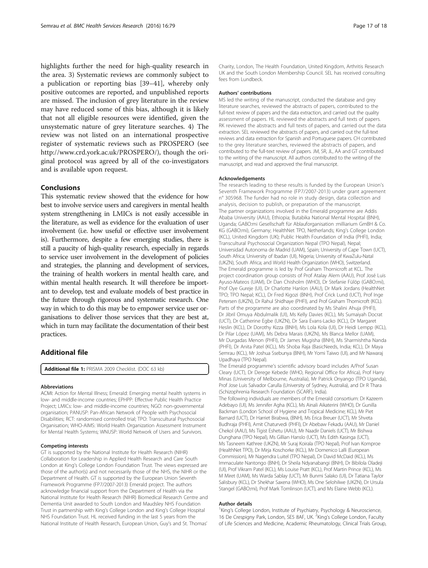<span id="page-16-0"></span>highlights further the need for high-quality research in the area. 3) Systematic reviews are commonly subject to a publication or reporting bias [[39](#page-17-0)–[41](#page-17-0)], whereby only positive outcomes are reported, and unpublished reports are missed. The inclusion of grey literature in the review may have reduced some of this bias, although it is likely that not all eligible resources were identified, given the unsystematic nature of grey literature searches. 4) The review was not listed on an international prospective register of systematic reviews such as PROSPERO (see [http://www.crd.york.ac.uk/PROSPERO/\)](http://www.crd.york.ac.uk/PROSPERO/), though the original protocol was agreed by all of the co-investigators and is available upon request.

#### Conclusions

This systematic review showed that the evidence for how best to involve service users and caregivers in mental health system strengthening in LMICs is not easily accessible in the literature, as well as evidence for the evaluation of user involvement (i.e. how useful or effective user involvement is). Furthermore, despite a few emerging studies, there is still a paucity of high-quality research, especially in regards to service user involvement in the development of policies and strategies, the planning and development of services, the training of health workers in mental health care, and within mental health research. It will therefore be important to develop, test and evaluate models of best practice in the future through rigorous and systematic research. One way in which to do this may be to empower service user organisations to deliver those services that they are best at, which in turn may facilitate the documentation of their best practices.

#### Additional file

[Additional file 1:](dx.doi.org/10.1186/s12913-016-1323-8) PRISMA 2009 Checklist. (DOC 63 kb)

#### Abbreviations

ACMI: Action for Mental Illness; Emerald: Emerging mental health systems in low- and middle-income countries; EPHPP: Effective Public Health Practice Project; LMICs: low- and middle-income countries; NGO: non-governmental organisation; PANUSP: Pan-African Network of People with Psychosocial Disabilities; RCT: randomised controlled trial; TPO: Transcultural Psychosocial Organisation; WHO-AIMS: World Health Organization Assessment Instrument for Mental Health Systems; WNUSP: World Network of Users and Survivors.

#### Competing interests

GT is supported by the National Institute for Health Research (NIHR) Collaboration for Leadership in Applied Health Research and Care South London at King's College London Foundation Trust. The views expressed are those of the author(s) and not necessarily those of the NHS, the NIHR or the Department of Health. GT is supported by the European Union Seventh Framework Programme (FP7/2007-2013) Emerald project. The authors acknowledge financial support from the Department of Health via the National Institute for Health Research (NIHR) Biomedical Research Centre and Dementia Unit awarded to South London and Maudsley NHS Foundation Trust in partnership with King's College London and King's College Hospital NHS Foundation Trust. HL received funding in the last 5 years from the National Institute of Health Research, European Union, Guy's and St. Thomas'

Charity, London, The Health Foundation, United Kingdom, Arthritis Research UK and the South London Membership Council. SEL has received consulting fees from Lundbeck.

#### Authors' contributions

MS led the writing of the manuscript, conducted the database and grey literature searches, reviewed the abstracts of papers, contributed to the full-text review of papers and the data extraction, and carried out the quality assessment of papers. HL reviewed the abstracts and full texts of papers. RK reviewed the abstracts and full texts of papers, and carried out the data extraction. SEL reviewed the abstracts of papers, and carried out the full-text reviews and data extraction for Spanish and Portuguese papers. CH contributed to the grey literature searches, reviewed the abstracts of papers, and contributed to the full-text review of papers. JM, SR, JL, AA and GT contributed to the writing of the manuscript. All authors contributed to the writing of the manuscript, and read and approved the final manuscript.

#### Acknowledgements

The research leading to these results is funded by the European Union's Seventh Framework Programme (FP7/2007-2013) under grant agreement n° 305968. The funder had no role in study design, data collection and analysis, decision to publish, or preparation of the manuscript. The partner organizations involved in the Emerald programme are Addis Ababa University (AAU), Ethiopia; Butabika National Mental Hospital (BNH), Uganda; GABO:mi Gesellschaft für Ablauforganisation :milliarium GmBH & Co. KG (GABO:mi), Germany; HealthNet TPO, Netherlands; King's College London (KCL), United Kingdom (UK); Public Health Foundation of India (PHFI), India; Transcultural Psychosocial Organization Nepal (TPO Nepal), Nepal; Universidad Autonoma de Madrid (UAM), Spain; University of Cape Town (UCT), South Africa; University of Ibadan (UI), Nigeria; University of KwaZulu-Natal (UKZN), South Africa; and World Health Organization (WHO), Switzerland. The Emerald programme is led by Prof Graham Thornicroft at KCL. The project coordination group consists of Prof Atalay Alem (AAU), Prof José Luis Ayuso-Mateos (UAM), Dr Dan Chisholm (WHO), Dr Stefanie Fülöp (GABO:mi), Prof Oye Gureje (UI), Dr Charlotte Hanlon (AAU), Dr Mark Jordans (HealthNet TPO; TPO Nepal; KCL), Dr Fred Kigozi (BNH), Prof Crick Lund (UCT), Prof Inge Petersen (UKZN), Dr Rahul Shidhaye (PHFI), and Prof Graham Thornicroft (KCL). Parts of the programme are also coordinated by Ms Shalini Ahuja (PHFI), Dr Jibril Omuya Abdulmalik (UI), Ms Kelly Davies (KCL), Ms Sumaiyah Docrat (UCT), Dr Catherine Egbe (UKZN), Dr Sara Evans-Lacko (KCL), Dr Margaret Heslin (KCL), Dr Dorothy Kizza (BNH), Ms Lola Kola (UI), Dr Heidi Lempp (KCL), Dr Pilar López (UAM), Ms Debra Marais (UKZN), Ms Blanca Mellor (UAM), Mr Durgadas Menon (PHFI), Dr James Mugisha (BNH), Ms Sharmishtha Nanda (PHFI), Dr Anita Patel (KCL), Ms Shoba Raja (BasicNeeds, India; KCL), Dr Maya Semrau (KCL), Mr Joshua Ssebunya (BNH), Mr Yomi Taiwo (UI), and Mr Nawaraj Upadhaya (TPO Nepal).

The Emerald programme's scientific advisory board includes A/Prof Susan Cleary (UCT), Dr Derege Kebede (WHO, Regional Office for Africa), Prof Harry Minas (University of Melbourne, Australia), Mr Patrick Onyango (TPO Uganda), Prof Jose Luis Salvador Carulla (University of Sydney, Australia), and Dr R Thara (Schizophrenia Research Foundation (SCARF), India).

The following individuals are members of the Emerald consortium: Dr Kazeem Adebayo (UI), Ms Jennifer Agha (KCL), Ms Ainali Aikaterini (WHO), Dr Gunilla Backman (London School of Hygiene and Tropical Medicine; KCL), Mr Piet Barnard (UCT), Dr Harriet Birabwa, (BNH), Ms Erica Breuer (UCT), Mr Shveta Budhraja (PHFI), Amit Chaturvedi (PHFI), Dr Abebaw Fekadu (AAU), Mr Daniel Chekol (AAU), Ms Tigist Eshetu (AAU), Mr Naadir Daniels (UCT), Mr Bishwa Dunghana (TPO Nepal), Ms Gillian Hanslo (UCT), Ms Edith Kasinga (UCT), Ms Tasneem Kathree (UKZN), Mr Suraj Koirala (TPO Nepal), Prof Ivan Komproe (HealthNet TPO), Dr Mirja Koschorke (KCL), Mr Domenico Lalli (European Commission), Mr Nagendra Luitel (TPO Nepal), Dr David McDaid (KCL), Ms Immaculate Nantongo (BNH), Dr Sheila Ndyanabangi (BNH), Dr Bibilola Oladeji (UI), Prof Vikram Patel (KCL), Ms Louise Pratt (KCL), Prof Martin Prince (KCL), Ms M Miret (UAM), Ms Warda Sablay (UCT), Mr Bunmi Salako (UI), Dr Tatiana Taylor Salisbury (KCL), Dr Shekhar Saxena (WHO), Ms One Selohilwe (UKZN), Dr Ursula Stangel (GABO:mi), Prof Mark Tomlinson (UCT), and Ms Elaine Webb (KCL).

#### Author details

<sup>1</sup>King's College London, Institute of Psychiatry, Psychology & Neuroscience, 16 De Crespigny Park, London, SE5 8AF, UK. <sup>2</sup>King's College London, Faculty of Life Sciences and Medicine, Academic Rheumatology, Clinical Trials Group,